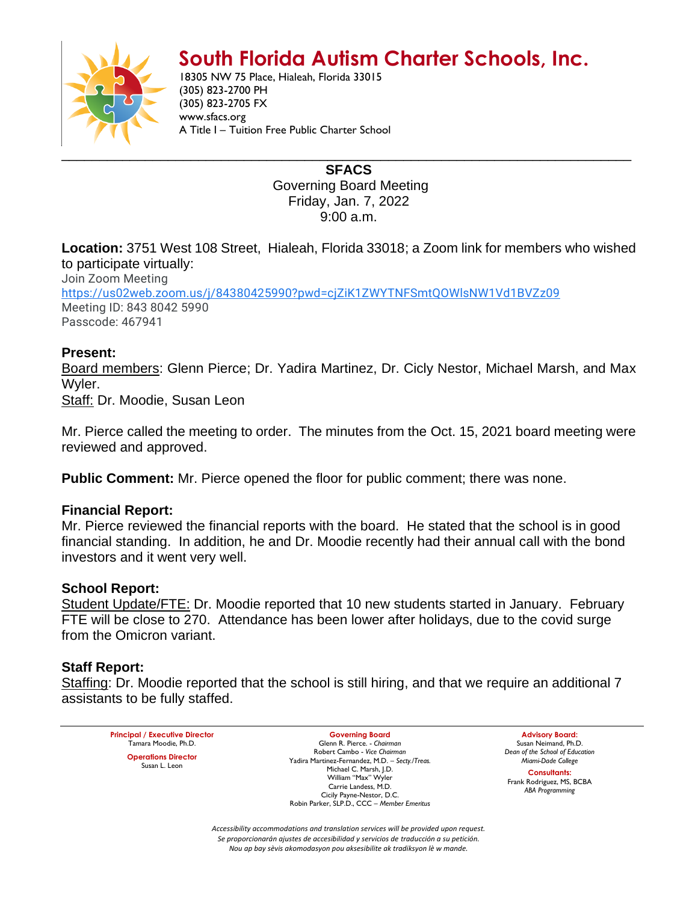# **South Florida Autism Charter Schools, Inc.**



18305 NW 75 Place, Hialeah, Florida 33015 (305) 823-2700 PH (305) 823-2705 FX www.sfacs.org A Title I – Tuition Free Public Charter School

> **SFACS** Governing Board Meeting Friday, Jan. 7, 2022 9:00 a.m.

**Location:** 3751 West 108 Street, Hialeah, Florida 33018; a Zoom link for members who wished to participate virtually:

Join Zoom Meeting [https://us02web.zoom.us/j/84380425990?pwd=cjZiK1ZWYTNFSmtQOWlsNW1Vd1BVZz09](https://www.google.com/url?q=https://us02web.zoom.us/j/84380425990?pwd%3DcjZiK1ZWYTNFSmtQOWlsNW1Vd1BVZz09&sa=D&source=calendar&ust=1643469937881873&usg=AOvVaw14sA1oq9kJOiM6SuVDYTZr) Meeting ID: 843 8042 5990 Passcode: 467941

## **Present:**

Board members: Glenn Pierce; Dr. Yadira Martinez, Dr. Cicly Nestor, Michael Marsh, and Max Wyler.

Staff: Dr. Moodie, Susan Leon

Mr. Pierce called the meeting to order. The minutes from the Oct. 15, 2021 board meeting were reviewed and approved.

**Public Comment:** Mr. Pierce opened the floor for public comment; there was none.

## **Financial Report:**

Mr. Pierce reviewed the financial reports with the board. He stated that the school is in good financial standing. In addition, he and Dr. Moodie recently had their annual call with the bond investors and it went very well.

#### **School Report:**

Student Update/FTE: Dr. Moodie reported that 10 new students started in January. February FTE will be close to 270. Attendance has been lower after holidays, due to the covid surge from the Omicron variant.

## **Staff Report:**

Staffing: Dr. Moodie reported that the school is still hiring, and that we require an additional 7 assistants to be fully staffed.

**Principal / Executive Director** Tamara Moodie, Ph.D. **Operations Director** Susan L. Leon

**Governing Board** Glenn R. Pierce. - *Chairman* Robert Cambo - *Vice Chairman* Yadira Martinez-Fernandez, M.D. – *Secty./Treas.* Michael C. Marsh, J.D. William "Max" Wyler Carrie Landess, M.D. Cicily Payne-Nestor, D.C. Robin Parker, SLP.D., CCC – *Member Emeritus*

**Advisory Board:** Susan Neimand, Ph.D. *Dean of the School of Education Miami-Dade College*

**Consultants:** Frank Rodriguez, MS, BCBA *ABA Programming*

*Accessibility accommodations and translation services will be provided upon request. Se proporcionarán ajustes de accesibilidad y servicios de traducción a su petición. Nou ap bay sèvis akomodasyon pou aksesibilite ak tradiksyon lè w mande.*